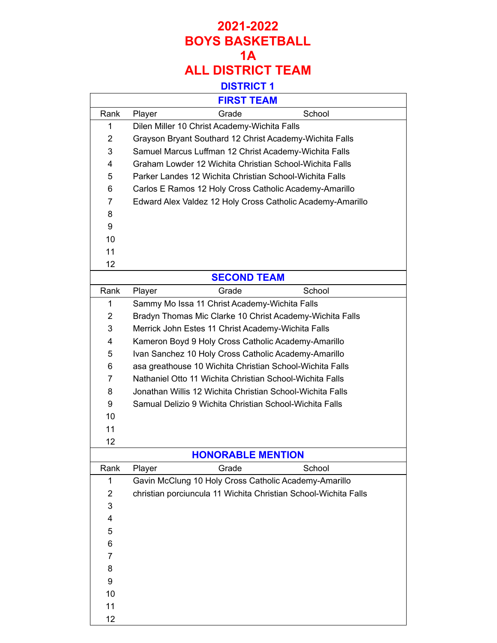|                | <b>FIRST TEAM</b>                                               |
|----------------|-----------------------------------------------------------------|
| Rank           | School<br>Grade<br>Player                                       |
| 1              | Dilen Miller 10 Christ Academy-Wichita Falls                    |
| $\overline{2}$ | Grayson Bryant Southard 12 Christ Academy-Wichita Falls         |
| 3              | Samuel Marcus Luffman 12 Christ Academy-Wichita Falls           |
| 4              | Graham Lowder 12 Wichita Christian School-Wichita Falls         |
| 5              | Parker Landes 12 Wichita Christian School-Wichita Falls         |
| 6              | Carlos E Ramos 12 Holy Cross Catholic Academy-Amarillo          |
| $\overline{7}$ | Edward Alex Valdez 12 Holy Cross Catholic Academy-Amarillo      |
| 8              |                                                                 |
| 9              |                                                                 |
| 10             |                                                                 |
| 11             |                                                                 |
| 12             |                                                                 |
|                | <b>SECOND TEAM</b>                                              |
| Rank           | Grade<br>School<br>Player                                       |
| 1              | Sammy Mo Issa 11 Christ Academy-Wichita Falls                   |
| $\overline{2}$ | Bradyn Thomas Mic Clarke 10 Christ Academy-Wichita Falls        |
| 3              | Merrick John Estes 11 Christ Academy-Wichita Falls              |
| 4              | Kameron Boyd 9 Holy Cross Catholic Academy-Amarillo             |
| 5              | Ivan Sanchez 10 Holy Cross Catholic Academy-Amarillo            |
| 6              | asa greathouse 10 Wichita Christian School-Wichita Falls        |
| 7              | Nathaniel Otto 11 Wichita Christian School-Wichita Falls        |
| 8              | Jonathan Willis 12 Wichita Christian School-Wichita Falls       |
| 9              | Samual Delizio 9 Wichita Christian School-Wichita Falls         |
| 10             |                                                                 |
| 11             |                                                                 |
| 12             |                                                                 |
|                | <b>HONORABLE MENTION</b>                                        |
| Rank           | School<br>Player<br>Grade                                       |
| 1              | Gavin McClung 10 Holy Cross Catholic Academy-Amarillo           |
| $\overline{2}$ | christian porciuncula 11 Wichita Christian School-Wichita Falls |
| 3              |                                                                 |
| 4              |                                                                 |
| 5              |                                                                 |
| 6              |                                                                 |
| 7              |                                                                 |
| 8              |                                                                 |
| 9              |                                                                 |
| 10             |                                                                 |
| 11             |                                                                 |
| 12             |                                                                 |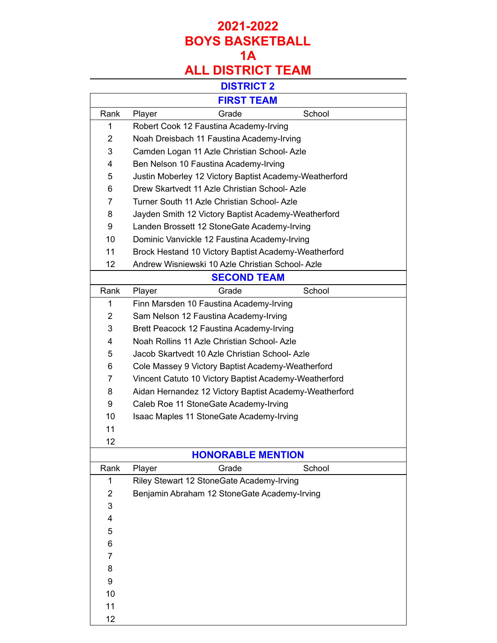# **2021-2022 BOYS BASKETBALL 1A**

# **ALL DISTRICT TEAM**

|                | <b>FIRST TEAM</b>                                      |
|----------------|--------------------------------------------------------|
| Rank           | School<br>Grade<br>Player                              |
| 1              | Robert Cook 12 Faustina Academy-Irving                 |
| $\overline{2}$ | Noah Dreisbach 11 Faustina Academy-Irving              |
| 3              | Camden Logan 11 Azle Christian School-Azle             |
| 4              | Ben Nelson 10 Faustina Academy-Irving                  |
| 5              | Justin Moberley 12 Victory Baptist Academy-Weatherford |
| 6              | Drew Skartvedt 11 Azle Christian School-Azle           |
| $\overline{7}$ | Turner South 11 Azle Christian School-Azle             |
| 8              | Jayden Smith 12 Victory Baptist Academy-Weatherford    |
| 9              | Landen Brossett 12 StoneGate Academy-Irving            |
| 10             | Dominic Vanvickle 12 Faustina Academy-Irving           |
| 11             | Brock Hestand 10 Victory Baptist Academy-Weatherford   |
| 12             | Andrew Wisniewski 10 Azle Christian School- Azle       |
|                | <b>SECOND TEAM</b>                                     |
| Rank           | School<br>Grade<br>Player                              |
| 1              | Finn Marsden 10 Faustina Academy-Irving                |
| $\overline{2}$ | Sam Nelson 12 Faustina Academy-Irving                  |
| 3              | Brett Peacock 12 Faustina Academy-Irving               |
| 4              | Noah Rollins 11 Azle Christian School-Azle             |
| 5              | Jacob Skartvedt 10 Azle Christian School-Azle          |
| 6              | Cole Massey 9 Victory Baptist Academy-Weatherford      |
| 7              | Vincent Catuto 10 Victory Baptist Academy-Weatherford  |
| 8              | Aidan Hernandez 12 Victory Baptist Academy-Weatherford |
| 9              | Caleb Roe 11 StoneGate Academy-Irving                  |
| 10             | Isaac Maples 11 StoneGate Academy-Irving               |
| 11             |                                                        |
| 12             |                                                        |
|                | <b>HONORABLE MENTION</b>                               |
| Rank           | School<br>Player<br>Grade                              |
| 1              | Riley Stewart 12 StoneGate Academy-Irving              |
| $\overline{2}$ | Benjamin Abraham 12 StoneGate Academy-Irving           |
| 3              |                                                        |
| 4              |                                                        |
| 5              |                                                        |
| 6              |                                                        |
| 7              |                                                        |
| 8              |                                                        |
| 9              |                                                        |
| 10             |                                                        |
| 11             |                                                        |
| 12             |                                                        |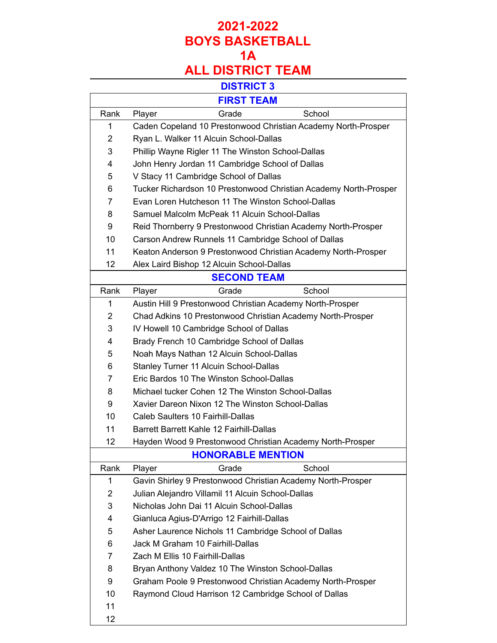|                   | <b>FIRST TEAM</b>                                                |
|-------------------|------------------------------------------------------------------|
| Rank              | School<br>Grade<br>Player                                        |
| 1                 | Caden Copeland 10 Prestonwood Christian Academy North-Prosper    |
| $\overline{2}$    | Ryan L. Walker 11 Alcuin School-Dallas                           |
| 3                 | Phillip Wayne Rigler 11 The Winston School-Dallas                |
| 4                 | John Henry Jordan 11 Cambridge School of Dallas                  |
| 5                 | V Stacy 11 Cambridge School of Dallas                            |
| 6                 | Tucker Richardson 10 Prestonwood Christian Academy North-Prosper |
| 7                 | Evan Loren Hutcheson 11 The Winston School-Dallas                |
| 8                 | Samuel Malcolm McPeak 11 Alcuin School-Dallas                    |
| 9                 | Reid Thornberry 9 Prestonwood Christian Academy North-Prosper    |
| 10                | Carson Andrew Runnels 11 Cambridge School of Dallas              |
| 11                | Keaton Anderson 9 Prestonwood Christian Academy North-Prosper    |
| 12                | Alex Laird Bishop 12 Alcuin School-Dallas                        |
|                   | <b>SECOND TEAM</b>                                               |
| Rank              | School<br>Grade<br>Player                                        |
| 1                 | Austin Hill 9 Prestonwood Christian Academy North-Prosper        |
| 2                 | Chad Adkins 10 Prestonwood Christian Academy North-Prosper       |
| 3                 | IV Howell 10 Cambridge School of Dallas                          |
| 4                 | Brady French 10 Cambridge School of Dallas                       |
| 5                 | Noah Mays Nathan 12 Alcuin School-Dallas                         |
| 6                 | Stanley Turner 11 Alcuin School-Dallas                           |
| 7                 | Eric Bardos 10 The Winston School-Dallas                         |
| 8                 | Michael tucker Cohen 12 The Winston School-Dallas                |
| 9                 | Xavier Dareon Nixon 12 The Winston School-Dallas                 |
| 10                | Caleb Saulters 10 Fairhill-Dallas                                |
| 11                | Barrett Barrett Kahle 12 Fairhill-Dallas                         |
| 12                | Hayden Wood 9 Prestonwood Christian Academy North-Prosper        |
|                   | <b>HONORABLE MENTION</b>                                         |
| Rank              | Player<br>Grade<br>School                                        |
| 1                 | Gavin Shirley 9 Prestonwood Christian Academy North-Prosper      |
| 2                 | Julian Alejandro Villamil 11 Alcuin School-Dallas                |
| 3                 | Nicholas John Dai 11 Alcuin School-Dallas                        |
| 4                 | Gianluca Agius-D'Arrigo 12 Fairhill-Dallas                       |
| 5                 | Asher Laurence Nichols 11 Cambridge School of Dallas             |
| 6                 | Jack M Graham 10 Fairhill-Dallas                                 |
| 7                 | Zach M Ellis 10 Fairhill-Dallas                                  |
| 8                 | Bryan Anthony Valdez 10 The Winston School-Dallas                |
| 9                 | Graham Poole 9 Prestonwood Christian Academy North-Prosper       |
| 10                | Raymond Cloud Harrison 12 Cambridge School of Dallas             |
| 11                |                                                                  |
| $12 \overline{ }$ |                                                                  |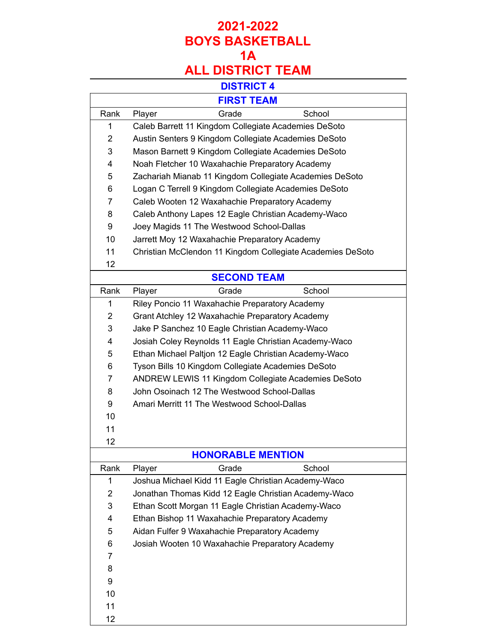#### **DISTRICT 4**

|                |        | ד ושווושוש                                         |                                                            |
|----------------|--------|----------------------------------------------------|------------------------------------------------------------|
|                |        | <b>FIRST TEAM</b>                                  |                                                            |
| Rank           | Player | Grade                                              | School                                                     |
| 1              |        |                                                    | Caleb Barrett 11 Kingdom Collegiate Academies DeSoto       |
| $\overline{2}$ |        |                                                    | Austin Senters 9 Kingdom Collegiate Academies DeSoto       |
| 3              |        |                                                    | Mason Barnett 9 Kingdom Collegiate Academies DeSoto        |
| 4              |        | Noah Fletcher 10 Waxahachie Preparatory Academy    |                                                            |
| 5              |        |                                                    | Zachariah Mianab 11 Kingdom Collegiate Academies DeSoto    |
| 6              |        |                                                    | Logan C Terrell 9 Kingdom Collegiate Academies DeSoto      |
| $\overline{7}$ |        | Caleb Wooten 12 Waxahachie Preparatory Academy     |                                                            |
| 8              |        |                                                    | Caleb Anthony Lapes 12 Eagle Christian Academy-Waco        |
| 9              |        | Joey Magids 11 The Westwood School-Dallas          |                                                            |
| 10             |        | Jarrett Moy 12 Waxahachie Preparatory Academy      |                                                            |
| 11             |        |                                                    | Christian McClendon 11 Kingdom Collegiate Academies DeSoto |
| 12             |        |                                                    |                                                            |
|                |        | <b>SECOND TEAM</b>                                 |                                                            |
| Rank           | Player | Grade                                              | School                                                     |
| 1              |        | Riley Poncio 11 Waxahachie Preparatory Academy     |                                                            |
| $\overline{2}$ |        | Grant Atchley 12 Waxahachie Preparatory Academy    |                                                            |
| 3              |        | Jake P Sanchez 10 Eagle Christian Academy-Waco     |                                                            |
| 4              |        |                                                    | Josiah Coley Reynolds 11 Eagle Christian Academy-Waco      |
| 5              |        |                                                    | Ethan Michael Paltjon 12 Eagle Christian Academy-Waco      |
| 6              |        | Tyson Bills 10 Kingdom Collegiate Academies DeSoto |                                                            |
| $\overline{7}$ |        |                                                    | ANDREW LEWIS 11 Kingdom Collegiate Academies DeSoto        |
| 8              |        | John Osoinach 12 The Westwood School-Dallas        |                                                            |
| 9              |        | Amari Merritt 11 The Westwood School-Dallas        |                                                            |
| 10             |        |                                                    |                                                            |
| 11             |        |                                                    |                                                            |
| 12             |        |                                                    |                                                            |
|                |        | <b>HONORABLE MENTION</b>                           |                                                            |
| Rank           | Player | Grade                                              | School                                                     |
| 1              |        |                                                    | Joshua Michael Kidd 11 Eagle Christian Academy-Waco        |
| $\overline{2}$ |        |                                                    | Jonathan Thomas Kidd 12 Eagle Christian Academy-Waco       |
| 3              |        |                                                    | Ethan Scott Morgan 11 Eagle Christian Academy-Waco         |
| 4              |        | Ethan Bishop 11 Waxahachie Preparatory Academy     |                                                            |
| 5              |        | Aidan Fulfer 9 Waxahachie Preparatory Academy      |                                                            |
| 6              |        | Josiah Wooten 10 Waxahachie Preparatory Academy    |                                                            |
| 7              |        |                                                    |                                                            |
| 8              |        |                                                    |                                                            |
| 9              |        |                                                    |                                                            |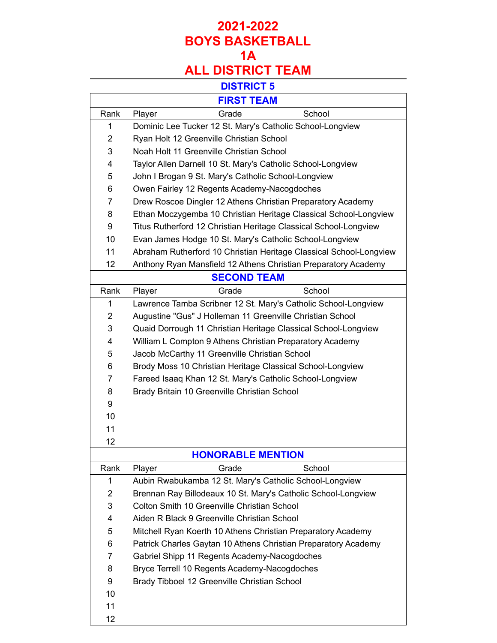| <b>FIRST TEAM</b> |                                                                    |  |
|-------------------|--------------------------------------------------------------------|--|
| Rank              | School<br>Grade<br>Player                                          |  |
| 1                 | Dominic Lee Tucker 12 St. Mary's Catholic School-Longview          |  |
| $\overline{2}$    | Ryan Holt 12 Greenville Christian School                           |  |
| 3                 | Noah Holt 11 Greenville Christian School                           |  |
| 4                 | Taylor Allen Darnell 10 St. Mary's Catholic School-Longview        |  |
| 5                 | John I Brogan 9 St. Mary's Catholic School-Longview                |  |
| 6                 | Owen Fairley 12 Regents Academy-Nacogdoches                        |  |
| 7                 | Drew Roscoe Dingler 12 Athens Christian Preparatory Academy        |  |
| 8                 | Ethan Moczygemba 10 Christian Heritage Classical School-Longview   |  |
| 9                 | Titus Rutherford 12 Christian Heritage Classical School-Longview   |  |
| 10                | Evan James Hodge 10 St. Mary's Catholic School-Longview            |  |
| 11                | Abraham Rutherford 10 Christian Heritage Classical School-Longview |  |
| 12                | Anthony Ryan Mansfield 12 Athens Christian Preparatory Academy     |  |
|                   | <b>SECOND TEAM</b>                                                 |  |
| Rank              | Grade<br>School<br>Player                                          |  |
| 1                 | Lawrence Tamba Scribner 12 St. Mary's Catholic School-Longview     |  |
| $\overline{2}$    | Augustine "Gus" J Holleman 11 Greenville Christian School          |  |
| 3                 | Quaid Dorrough 11 Christian Heritage Classical School-Longview     |  |
| 4                 | William L Compton 9 Athens Christian Preparatory Academy           |  |
| 5                 | Jacob McCarthy 11 Greenville Christian School                      |  |
| 6                 | Brody Moss 10 Christian Heritage Classical School-Longview         |  |
| 7                 | Fareed Isaaq Khan 12 St. Mary's Catholic School-Longview           |  |
| 8                 | Brady Britain 10 Greenville Christian School                       |  |
| 9                 |                                                                    |  |
| 10                |                                                                    |  |
| 11                |                                                                    |  |
| 12                |                                                                    |  |
|                   | <b>HONORABLE MENTION</b>                                           |  |
| Rank              | Player<br>Grade<br>School                                          |  |
| 1                 | Aubin Rwabukamba 12 St. Mary's Catholic School-Longview            |  |
| 2                 | Brennan Ray Billodeaux 10 St. Mary's Catholic School-Longview      |  |
| 3                 | Colton Smith 10 Greenville Christian School                        |  |
| 4                 | Aiden R Black 9 Greenville Christian School                        |  |
| 5                 | Mitchell Ryan Koerth 10 Athens Christian Preparatory Academy       |  |
| 6                 | Patrick Charles Gaytan 10 Athens Christian Preparatory Academy     |  |
| 7                 | Gabriel Shipp 11 Regents Academy-Nacogdoches                       |  |
| 8                 | Bryce Terrell 10 Regents Academy-Nacogdoches                       |  |
| 9                 | Brady Tibboel 12 Greenville Christian School                       |  |
| 10                |                                                                    |  |
| 11                |                                                                    |  |
| 12                |                                                                    |  |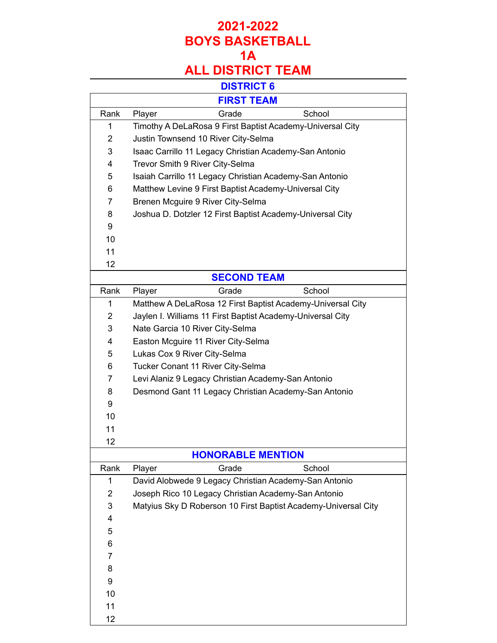## **2021-2022 BOYS BASKETBALL 1A**

# **ALL DISTRICT TEAM**

|                | <b>FIRST TEAM</b>                                              |
|----------------|----------------------------------------------------------------|
| Rank           | Grade<br>School<br>Player                                      |
| 1              | Timothy A DeLaRosa 9 First Baptist Academy-Universal City      |
| $\overline{2}$ | Justin Townsend 10 River City-Selma                            |
| 3              | Isaac Carrillo 11 Legacy Christian Academy-San Antonio         |
| 4              | Trevor Smith 9 River City-Selma                                |
| 5              | Isaiah Carrillo 11 Legacy Christian Academy-San Antonio        |
| 6              | Matthew Levine 9 First Baptist Academy-Universal City          |
| $\overline{7}$ | Brenen Mcguire 9 River City-Selma                              |
| 8              | Joshua D. Dotzler 12 First Baptist Academy-Universal City      |
| 9              |                                                                |
| 10             |                                                                |
| 11             |                                                                |
| 12             |                                                                |
|                | <b>SECOND TEAM</b>                                             |
| Rank           | Player<br>Grade<br>School                                      |
| 1              | Matthew A DeLaRosa 12 First Baptist Academy-Universal City     |
| $\overline{2}$ | Jaylen I. Williams 11 First Baptist Academy-Universal City     |
| 3              | Nate Garcia 10 River City-Selma                                |
| 4              | Easton Mcguire 11 River City-Selma                             |
| 5              | Lukas Cox 9 River City-Selma                                   |
| 6              | Tucker Conant 11 River City-Selma                              |
| $\overline{7}$ | Levi Alaniz 9 Legacy Christian Academy-San Antonio             |
| 8              | Desmond Gant 11 Legacy Christian Academy-San Antonio           |
| 9              |                                                                |
| 10             |                                                                |
| 11             |                                                                |
| 12             |                                                                |
|                | <b>HONORABLE MENTION</b>                                       |
| Rank           | Grade<br>School<br>Player                                      |
| 1              | David Alobwede 9 Legacy Christian Academy-San Antonio          |
| 2              | Joseph Rico 10 Legacy Christian Academy-San Antonio            |
| 3              | Matyius Sky D Roberson 10 First Baptist Academy-Universal City |
| 4              |                                                                |
| 5              |                                                                |
| 6              |                                                                |
| 7              |                                                                |
| 8              |                                                                |
| 9              |                                                                |
| 10             |                                                                |
| 11             |                                                                |
| 12             |                                                                |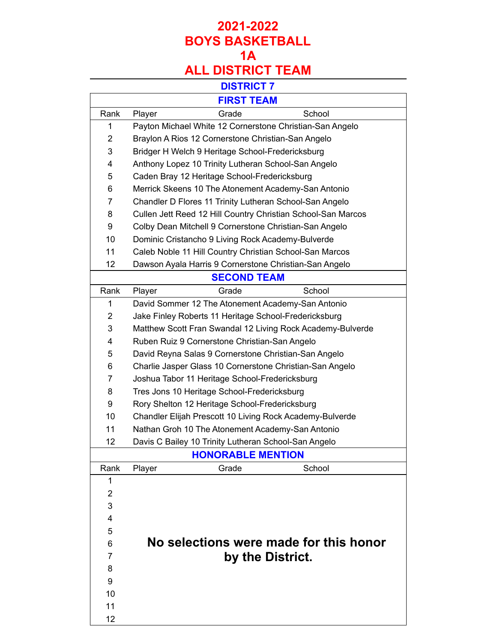|                | <b>FIRST TEAM</b>                                            |
|----------------|--------------------------------------------------------------|
| Rank           | School<br>Grade<br>Player                                    |
| 1              | Payton Michael White 12 Cornerstone Christian-San Angelo     |
| $\overline{2}$ | Braylon A Rios 12 Cornerstone Christian-San Angelo           |
| 3              | Bridger H Welch 9 Heritage School-Fredericksburg             |
| 4              | Anthony Lopez 10 Trinity Lutheran School-San Angelo          |
| 5              | Caden Bray 12 Heritage School-Fredericksburg                 |
| 6              | Merrick Skeens 10 The Atonement Academy-San Antonio          |
| 7              | Chandler D Flores 11 Trinity Lutheran School-San Angelo      |
| 8              | Cullen Jett Reed 12 Hill Country Christian School-San Marcos |
| 9              | Colby Dean Mitchell 9 Cornerstone Christian-San Angelo       |
| 10             | Dominic Cristancho 9 Living Rock Academy-Bulverde            |
| 11             | Caleb Noble 11 Hill Country Christian School-San Marcos      |
| 12             | Dawson Ayala Harris 9 Cornerstone Christian-San Angelo       |
|                | <b>SECOND TEAM</b>                                           |
| Rank           | Grade<br>School<br>Player                                    |
| 1              | David Sommer 12 The Atonement Academy-San Antonio            |
| $\overline{2}$ | Jake Finley Roberts 11 Heritage School-Fredericksburg        |
| 3              | Matthew Scott Fran Swandal 12 Living Rock Academy-Bulverde   |
| 4              | Ruben Ruiz 9 Cornerstone Christian-San Angelo                |
| 5              | David Reyna Salas 9 Cornerstone Christian-San Angelo         |
| 6              | Charlie Jasper Glass 10 Cornerstone Christian-San Angelo     |
| 7              | Joshua Tabor 11 Heritage School-Fredericksburg               |
| 8              | Tres Jons 10 Heritage School-Fredericksburg                  |
| 9              | Rory Shelton 12 Heritage School-Fredericksburg               |
| 10             | Chandler Elijah Prescott 10 Living Rock Academy-Bulverde     |
| 11             | Nathan Groh 10 The Atonement Academy-San Antonio             |
| 12             | Davis C Bailey 10 Trinity Lutheran School-San Angelo         |
|                | <b>HONORABLE MENTION</b>                                     |
| Rank           | School<br>Player<br>Grade                                    |
| 1              |                                                              |
| $\overline{2}$ |                                                              |
| 3              |                                                              |
| 4              |                                                              |
| 5              |                                                              |
| 6              | No selections were made for this honor                       |
| 7              | by the District.                                             |
| 8              |                                                              |
| 9              |                                                              |
| 10             |                                                              |
| 11             |                                                              |
| 12             |                                                              |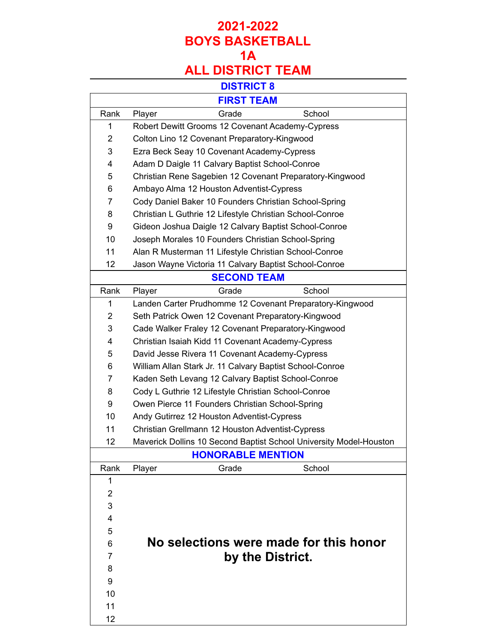|                | <b>FIRST TEAM</b>                                                  |
|----------------|--------------------------------------------------------------------|
| Rank           | Grade<br>School<br>Player                                          |
| 1              | Robert Dewitt Grooms 12 Covenant Academy-Cypress                   |
| 2              | Colton Lino 12 Covenant Preparatory-Kingwood                       |
| 3              | Ezra Beck Seay 10 Covenant Academy-Cypress                         |
| 4              | Adam D Daigle 11 Calvary Baptist School-Conroe                     |
| 5              | Christian Rene Sagebien 12 Covenant Preparatory-Kingwood           |
| 6              | Ambayo Alma 12 Houston Adventist-Cypress                           |
| 7              | Cody Daniel Baker 10 Founders Christian School-Spring              |
| 8              | Christian L Guthrie 12 Lifestyle Christian School-Conroe           |
| 9              | Gideon Joshua Daigle 12 Calvary Baptist School-Conroe              |
| 10             | Joseph Morales 10 Founders Christian School-Spring                 |
| 11             | Alan R Musterman 11 Lifestyle Christian School-Conroe              |
| 12             | Jason Wayne Victoria 11 Calvary Baptist School-Conroe              |
|                | <b>SECOND TEAM</b>                                                 |
| Rank           | School<br>Grade<br>Player                                          |
| 1              | Landen Carter Prudhomme 12 Covenant Preparatory-Kingwood           |
| 2              | Seth Patrick Owen 12 Covenant Preparatory-Kingwood                 |
| 3              | Cade Walker Fraley 12 Covenant Preparatory-Kingwood                |
| 4              | Christian Isaiah Kidd 11 Covenant Academy-Cypress                  |
| 5              | David Jesse Rivera 11 Covenant Academy-Cypress                     |
| 6              | William Allan Stark Jr. 11 Calvary Baptist School-Conroe           |
| 7              | Kaden Seth Levang 12 Calvary Baptist School-Conroe                 |
| 8              | Cody L Guthrie 12 Lifestyle Christian School-Conroe                |
| 9              | Owen Pierce 11 Founders Christian School-Spring                    |
| 10             | Andy Gutirrez 12 Houston Adventist-Cypress                         |
| 11             | Christian Grellmann 12 Houston Adventist-Cypress                   |
| 12             | Maverick Dollins 10 Second Baptist School University Model-Houston |
|                | <b>HONORABLE MENTION</b>                                           |
| Rank           | School<br>Player<br>Grade                                          |
| 1              |                                                                    |
| $\overline{2}$ |                                                                    |
| 3              |                                                                    |
| 4              |                                                                    |
| 5              |                                                                    |
| 6              | No selections were made for this honor                             |
| 7              | by the District.                                                   |
| 8              |                                                                    |
| 9              |                                                                    |
| 10             |                                                                    |
| 11             |                                                                    |
| 12             |                                                                    |